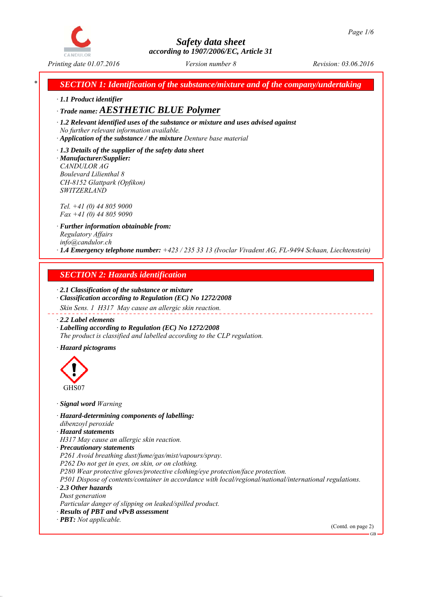

*\* SECTION 1: Identification of the substance/mixture and of the company/undertaking*

*∙ 1.1 Product identifier*

*∙ Trade name: AESTHETIC BLUE Polymer*

*∙ 1.2 Relevant identified uses of the substance or mixture and uses advised against No further relevant information available.*

*∙ Application of the substance / the mixture Denture base material*

*∙ 1.3 Details of the supplier of the safety data sheet ∙ Manufacturer/Supplier: CANDULOR AG Boulevard Lilienthal 8 CH-8152 Glattpark (Opfikon) SWITZERLAND*

*Tel. +41 (0) 44 805 9000 Fax +41 (0) 44 805 9090*

*∙ Further information obtainable from: Regulatory Affairs info@candulor.ch ∙ 1.4 Emergency telephone number: +423 / 235 33 13 (Ivoclar Vivadent AG, FL-9494 Schaan, Liechtenstein)*

# *SECTION 2: Hazards identification*

*∙ 2.1 Classification of the substance or mixture ∙ Classification according to Regulation (EC) No 1272/2008*

*Skin Sens. 1 H317 May cause an allergic skin reaction.*

*∙ 2.2 Label elements*

*∙ Labelling according to Regulation (EC) No 1272/2008 The product is classified and labelled according to the CLP regulation.*

*∙ Hazard pictograms*



*∙ Signal word Warning*

*∙ Hazard-determining components of labelling: dibenzoyl peroxide*

*∙ Hazard statements*

*H317 May cause an allergic skin reaction.*

*∙ Precautionary statements*

*P261 Avoid breathing dust/fume/gas/mist/vapours/spray.*

*P262 Do not get in eyes, on skin, or on clothing.*

*P280 Wear protective gloves/protective clothing/eye protection/face protection.*

*P501 Dispose of contents/container in accordance with local/regional/national/international regulations. ∙ 2.3 Other hazards*

*Dust generation*

*Particular danger of slipping on leaked/spilled product.*

*∙ Results of PBT and vPvB assessment*

*∙ PBT: Not applicable.*

(Contd. on page 2)

GB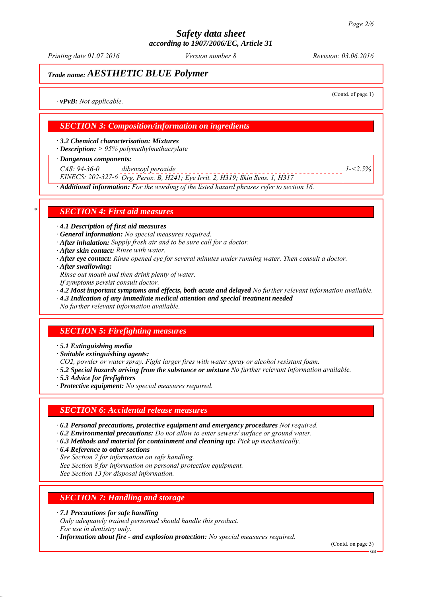*Printing date 01.07.2016 Revision: 03.06.2016 Version number 8*

# *Trade name: AESTHETIC BLUE Polymer*

(Contd. of page 1)

*1-<2.5%*

*∙ vPvB: Not applicable.*

## *SECTION 3: Composition/information on ingredients*

*∙ 3.2 Chemical characterisation: Mixtures*

*∙ Description: > 95% polymethylmethacrylate*

*∙ Dangerous components:*

*CAS: 94-36-0 dibenzoyl peroxide*

*EINECS: 202-327-6 Org. Perox. B, H241; Eye Irrit. 2, H319; Skin Sens. 1, H317*

*∙ Additional information: For the wording of the listed hazard phrases refer to section 16.*

### *\* SECTION 4: First aid measures*

*∙ 4.1 Description of first aid measures*

*∙ General information: No special measures required.*

- *∙ After inhalation: Supply fresh air and to be sure call for a doctor.*
- *∙ After skin contact: Rinse with water.*
- *∙ After eye contact: Rinse opened eye for several minutes under running water. Then consult a doctor.*
- *∙ After swallowing:*

*Rinse out mouth and then drink plenty of water.*

- *If symptoms persist consult doctor.*
- *∙ 4.2 Most important symptoms and effects, both acute and delayed No further relevant information available.*

*∙ 4.3 Indication of any immediate medical attention and special treatment needed*

*No further relevant information available.*

# *SECTION 5: Firefighting measures*

*∙ 5.1 Extinguishing media*

*∙ Suitable extinguishing agents:*

*CO2, powder or water spray. Fight larger fires with water spray or alcohol resistant foam.*

- *∙ 5.2 Special hazards arising from the substance or mixture No further relevant information available.*
- *∙ 5.3 Advice for firefighters*
- *∙ Protective equipment: No special measures required.*

### *SECTION 6: Accidental release measures*

- *∙ 6.1 Personal precautions, protective equipment and emergency procedures Not required.*
- *∙ 6.2 Environmental precautions: Do not allow to enter sewers/ surface or ground water.*
- *∙ 6.3 Methods and material for containment and cleaning up: Pick up mechanically.*
- *∙ 6.4 Reference to other sections*
- *See Section 7 for information on safe handling.*

*See Section 8 for information on personal protection equipment.*

*See Section 13 for disposal information.*

### *SECTION 7: Handling and storage*

*∙ 7.1 Precautions for safe handling*

*Only adequately trained personnel should handle this product. For use in dentistry only.*

*∙ Information about fire - and explosion protection: No special measures required.*

(Contd. on page 3)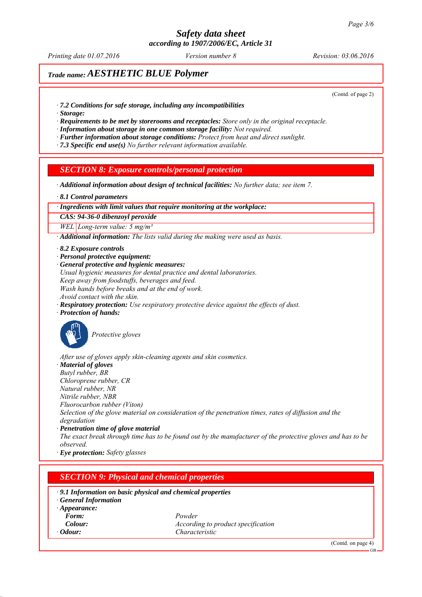*Printing date 01.07.2016 Revision: 03.06.2016 Version number 8*

# *Trade name: AESTHETIC BLUE Polymer*

(Contd. of page 2)

- *∙ 7.2 Conditions for safe storage, including any incompatibilities*
- *∙ Storage:*

*∙ Requirements to be met by storerooms and receptacles: Store only in the original receptacle.*

*∙ Information about storage in one common storage facility: Not required.*

*∙ Further information about storage conditions: Protect from heat and direct sunlight.*

*∙ 7.3 Specific end use(s) No further relevant information available.*

### *SECTION 8: Exposure controls/personal protection*

*∙ Additional information about design of technical facilities: No further data; see item 7.*

*∙ 8.1 Control parameters*

#### *∙ Ingredients with limit values that require monitoring at the workplace:*

*CAS: 94-36-0 dibenzoyl peroxide*

*WEL Long-term value: 5 mg/m³*

*∙ Additional information: The lists valid during the making were used as basis.*

- *∙ 8.2 Exposure controls*
- *∙ Personal protective equipment:*

*∙ General protective and hygienic measures: Usual hygienic measures for dental practice and dental laboratories. Keep away from foodstuffs, beverages and feed. Wash hands before breaks and at the end of work. Avoid contact with the skin.*

*∙ Respiratory protection: Use respiratory protective device against the effects of dust.*

*∙ Protection of hands:*



*Protective gloves*

*After use of gloves apply skin-cleaning agents and skin cosmetics.*

*∙ Material of gloves*

*Butyl rubber, BR Chloroprene rubber, CR*

*Natural rubber, NR*

*Nitrile rubber, NBR*

*Fluorocarbon rubber (Viton)*

*Selection of the glove material on consideration of the penetration times, rates of diffusion and the degradation*

*∙ Penetration time of glove material*

*The exact break through time has to be found out by the manufacturer of the protective gloves and has to be observed.*

*∙ Eye protection: Safety glasses*

### *SECTION 9: Physical and chemical properties*

#### *∙ 9.1 Information on basic physical and chemical properties*

*∙ General Information*

- *∙ Appearance:*
- *Form: Powder Colour: According to product specification ∙ Odour: Characteristic*

(Contd. on page 4)

GB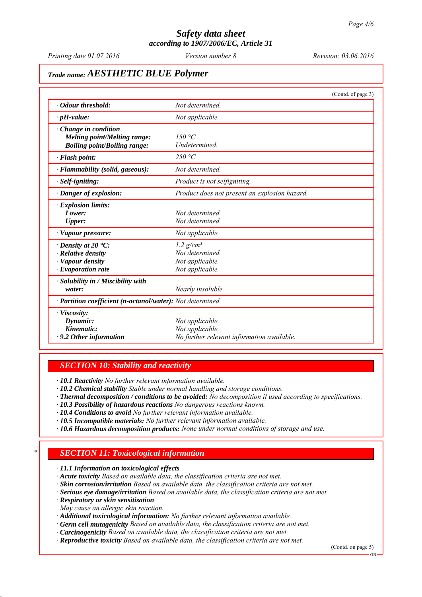*Printing date 01.07.2016 Revision: 03.06.2016 Version number 8*

# *Trade name: AESTHETIC BLUE Polymer*

|                                                            | (Contd. of page 3)                            |
|------------------------------------------------------------|-----------------------------------------------|
| • Odour threshold:                                         | Not determined.                               |
| $\cdot$ pH-value:                                          | Not applicable.                               |
| $\cdot$ Change in condition                                |                                               |
| <b>Melting point/Melting range:</b>                        | 150 $\degree$ C                               |
| <b>Boiling point/Boiling range:</b>                        | Undetermined.                                 |
| $\cdot$ Flash point:                                       | 250 °C                                        |
| · Flammability (solid, gaseous):                           | Not determined.                               |
| · Self-igniting:                                           | Product is not selfigniting.                  |
| · Danger of explosion:                                     | Product does not present an explosion hazard. |
| · Explosion limits:                                        |                                               |
| Lower:                                                     | Not determined.                               |
| <b>Upper:</b>                                              | Not determined.                               |
| · Vapour pressure:                                         | Not applicable.                               |
| $\cdot$ Density at 20 $\cdot$ C:                           | $1.2$ g/cm <sup>3</sup>                       |
| $\cdot$ Relative density                                   | Not determined.                               |
| · Vapour density                                           | Not applicable.                               |
| $\cdot$ Evaporation rate                                   | Not applicable.                               |
| $\cdot$ Solubility in / Miscibility with                   |                                               |
| water:                                                     | Nearly insoluble.                             |
| · Partition coefficient (n-octanol/water): Not determined. |                                               |
| · Viscosity:                                               |                                               |
| Dynamic:                                                   | Not applicable.                               |
| Kinematic:                                                 | Not applicable.                               |
| $\cdot$ 9.2 Other information                              | No further relevant information available.    |

### *SECTION 10: Stability and reactivity*

*∙ 10.1 Reactivity No further relevant information available.*

*∙ 10.2 Chemical stability Stable under normal handling and storage conditions.*

- *∙ Thermal decomposition / conditions to be avoided: No decomposition if used according to specifications.*
- *∙ 10.3 Possibility of hazardous reactions No dangerous reactions known.*
- *∙ 10.4 Conditions to avoid No further relevant information available.*
- *∙ 10.5 Incompatible materials: No further relevant information available.*
- *∙ 10.6 Hazardous decomposition products: None under normal conditions of storage and use.*

# *\* SECTION 11: Toxicological information*

*∙ 11.1 Information on toxicological effects*

- *∙ Acute toxicity Based on available data, the classification criteria are not met.*
- *∙ Skin corrosion/irritation Based on available data, the classification criteria are not met.*
- *∙ Serious eye damage/irritation Based on available data, the classification criteria are not met.*
- *∙ Respiratory or skin sensitisation*
- *May cause an allergic skin reaction.*
- *∙ Additional toxicological information: No further relevant information available.*
- *∙ Germ cell mutagenicity Based on available data, the classification criteria are not met.*
- *∙ Carcinogenicity Based on available data, the classification criteria are not met.*
- *∙ Reproductive toxicity Based on available data, the classification criteria are not met.*

(Contd. on page 5)

GB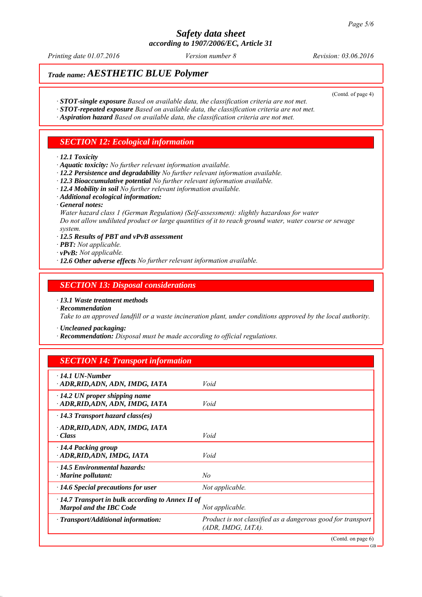*Printing date 01.07.2016 Revision: 03.06.2016 Version number 8*

(Contd. of page 4)

# *Trade name: AESTHETIC BLUE Polymer*

- *∙ STOT-single exposure Based on available data, the classification criteria are not met.*
- *∙ STOT-repeated exposure Based on available data, the classification criteria are not met.*
- *∙ Aspiration hazard Based on available data, the classification criteria are not met.*

## *SECTION 12: Ecological information*

#### *∙ 12.1 Toxicity*

- *∙ Aquatic toxicity: No further relevant information available.*
- *∙ 12.2 Persistence and degradability No further relevant information available.*
- *∙ 12.3 Bioaccumulative potential No further relevant information available.*
- *∙ 12.4 Mobility in soil No further relevant information available.*
- *∙ Additional ecological information:*
- *∙ General notes:*

*Water hazard class 1 (German Regulation) (Self-assessment): slightly hazardous for water Do not allow undiluted product or large quantities of it to reach ground water, water course or sewage system.*

- *∙ 12.5 Results of PBT and vPvB assessment*
- *∙ PBT: Not applicable.*
- *∙ vPvB: Not applicable.*
- *∙ 12.6 Other adverse effects No further relevant information available.*

### *SECTION 13: Disposal considerations*

- *∙ 13.1 Waste treatment methods*
- *∙ Recommendation*

*Take to an approved landfill or a waste incineration plant, under conditions approved by the local authority.*

*∙ Uncleaned packaging:*

*∙ Recommendation: Disposal must be made according to official regulations.*

### *SECTION 14: Transport information*

| $\cdot$ 14.1 UN-Number<br>· ADR,RID,ADN, ADN, IMDG, IATA                                                     | Void                                                                              |
|--------------------------------------------------------------------------------------------------------------|-----------------------------------------------------------------------------------|
| $\cdot$ 14.2 UN proper shipping name<br>· ADR,RID,ADN, ADN, IMDG, IATA                                       | Void                                                                              |
| $\cdot$ 14.3 Transport hazard class(es)                                                                      |                                                                                   |
| · ADR,RID,ADN, ADN, IMDG, IATA<br>· Class                                                                    | Void                                                                              |
| $\cdot$ 14.4 Packing group<br>· ADR, RID, ADN, IMDG, IATA                                                    | Void                                                                              |
| $\cdot$ 14.5 Environmental hazards:<br>$\cdot$ Marine pollutant:                                             | No                                                                                |
| $\cdot$ 14.6 Special precautions for user                                                                    | Not applicable.                                                                   |
| $\cdot$ 14.7 Transport in bulk according to Annex II of<br><b>Marpol and the IBC Code</b><br>Not applicable. |                                                                                   |
| · Transport/Additional information:                                                                          | Product is not classified as a dangerous good for transport<br>(ADR, IMDG, IATA). |
|                                                                                                              | (Contd. on page 6)                                                                |